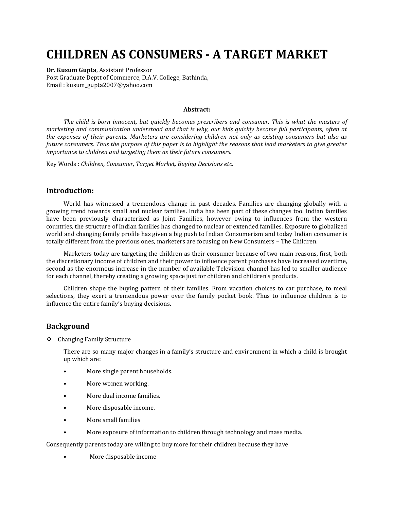# **CHILDREN AS CONSUMERS - A TARGET MARKET**

**Dr. Kusum Gupta**, Assistant Professor Post Graduate Deptt of Commerce, D.A.V. College, Bathinda, Email : kusum\_gupta2007@yahoo.com

#### **Abstract:**

*The child is born innocent, but quickly becomes prescribers and consumer. This is what the masters of marketing and communication understood and that is why, our kids quickly become full participants, often at the expenses of their parents. Marketers are considering children not only as existing consumers but also as future consumers. Thus the purpose of this paper is to highlight the reasons that lead marketers to give greater importance to children and targeting them as their future consumers.*

Key Words : *Children, Consumer, Target Market, Buying Decisions etc.*

#### **Introduction:**

World has witnessed a tremendous change in past decades. Families are changing globally with a growing trend towards small and nuclear families. India has been part of these changes too. Indian families have been previously characterized as Joint Families, however owing to influences from the western countries, the structure of Indian families has changed to nuclear or extended families. Exposure to globalized world and changing family profile has given a big push to Indian Consumerism and today Indian consumer is totally different from the previous ones, marketers are focusing on New Consumers – The Children.

Marketers today are targeting the children as their consumer because of two main reasons, first, both the discretionary income of children and their power to influence parent purchases have increased overtime, second as the enormous increase in the number of available Television channel has led to smaller audience for each channel, thereby creating a growing space just for children and children's products.

Children shape the buying pattern of their families. From vacation choices to car purchase, to meal selections, they exert a tremendous power over the family pocket book. Thus to influence children is to influence the entire family's buying decisions.

#### **Background**

Changing Family Structure

There are so many major changes in a family's structure and environment in which a child is brought up which are:

- More single parent households.
- More women working.
- More dual income families.
- More disposable income.
- More small families
- More exposure of information to children through technology and mass media.

Consequently parents today are willing to buy more for their children because they have

• More disposable income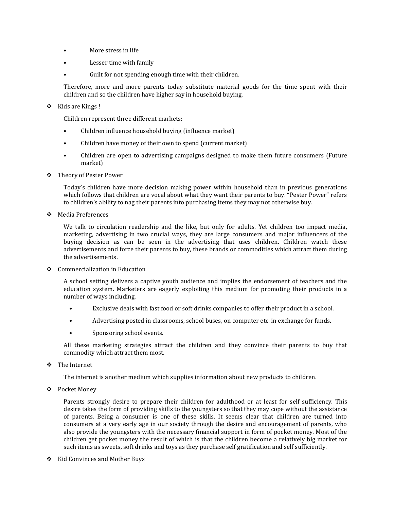- More stress in life
- Lesser time with family
- Guilt for not spending enough time with their children.

Therefore, more and more parents today substitute material goods for the time spent with their children and so the children have higher say in household buying.

#### ❖ Kids are Kings !

Children represent three different markets:

- Children influence household buying (influence market)
- Children have money of their own to spend (current market)
- Children are open to advertising campaigns designed to make them future consumers (Future market)
- Theory of Pester Power

Today's children have more decision making power within household than in previous generations which follows that children are vocal about what they want their parents to buy. "Pester Power" refers to children's ability to nag their parents into purchasing items they may not otherwise buy.

Media Preferences

We talk to circulation readership and the like, but only for adults. Yet children too impact media, marketing, advertising in two crucial ways, they are large consumers and major influencers of the buying decision as can be seen in the advertising that uses children. Children watch these advertisements and force their parents to buy, these brands or commodities which attract them during the advertisements.

❖ Commercialization in Education

A school setting delivers a captive youth audience and implies the endorsement of teachers and the education system. Marketers are eagerly exploiting this medium for promoting their products in a number of ways including.

- Exclusive deals with fast food or soft drinks companies to offer their product in a school.
- Advertising posted in classrooms, school buses, on computer etc. in exchange for funds.
- Sponsoring school events.

All these marketing strategies attract the children and they convince their parents to buy that commodity which attract them most.

The Internet

The internet is another medium which supplies information about new products to children.

Pocket Money

Parents strongly desire to prepare their children for adulthood or at least for self sufficiency. This desire takes the form of providing skills to the youngsters so that they may cope without the assistance of parents. Being a consumer is one of these skills. It seems clear that children are turned into consumers at a very early age in our society through the desire and encouragement of parents, who also provide the youngsters with the necessary financial support in form of pocket money. Most of the children get pocket money the result of which is that the children become a relatively big market for such items as sweets, soft drinks and toys as they purchase self gratification and self sufficiently.

❖ Kid Convinces and Mother Buys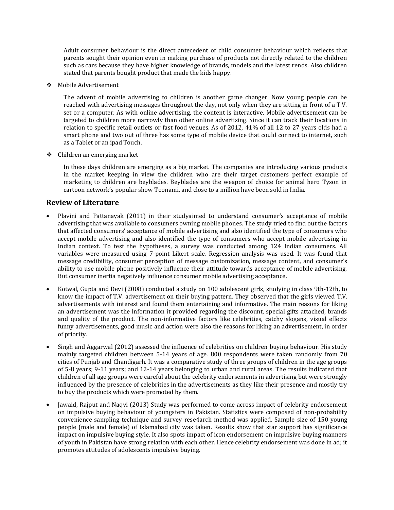Adult consumer behaviour is the direct antecedent of child consumer behaviour which reflects that parents sought their opinion even in making purchase of products not directly related to the children such as cars because they have higher knowledge of brands, models and the latest rends. Also children stated that parents bought product that made the kids happy.

Mobile Advertisement

The advent of mobile advertising to children is another game changer. Now young people can be reached with advertising messages throughout the day, not only when they are sitting in front of a T.V. set or a computer. As with online advertising, the content is interactive. Mobile advertisement can be targeted to children more narrowly than other online advertising. Since it can track their locations in relation to specific retail outlets or fast food venues. As of 2012, 41% of all 12 to 27 years olds had a smart phone and two out of three has some type of mobile device that could connect to internet, such as a Tablet or an ipad Touch.

Children an emerging market

In these days children are emerging as a big market. The companies are introducing various products in the market keeping in view the children who are their target customers perfect example of marketing to children are beyblades. Beyblades are the weapon of choice for animal hero Tyson in cartoon network's popular show Toonami, and close to a million have been sold in India.

## **Review of Literature**

- Plavini and Pattanayak (2011) in their studyaimed to understand consumer's acceptance of mobile advertising that was available to consumers owning mobile phones. The study tried to find out the factors that affected consumers' acceptance of mobile advertising and also identified the type of consumers who accept mobile advertising and also identified the type of consumers who accept mobile advertising in Indian context. To test the hypotheses, a survey was conducted among 124 Indian consumers. All variables were measured using 7-point Likert scale. Regression analysis was used. It was found that message credibility, consumer perception of message customization, message content, and consumer's ability to use mobile phone positively influence their attitude towards acceptance of mobile advertising. But consumer inertia negatively influence consumer mobile advertising acceptance.
- Kotwal, Gupta and Devi (2008) conducted a study on 100 adolescent girls, studying in class 9th-12th, to know the impact of T.V. advertisement on their buying pattern. They observed that the girls viewed T.V. advertisements with interest and found them entertaining and informative. The main reasons for liking an advertisement was the information it provided regarding the discount, special gifts attached, brands and quality of the product. The non-informative factors like celebrities, catchy slogans, visual effects funny advertisements, good music and action were also the reasons for liking an advertisement, in order of priority.
- Singh and Aggarwal (2012) assessed the influence of celebrities on children buying behaviour. His study mainly targeted children between 5-14 years of age. 800 respondents were taken randomly from 70 cities of Punjab and Chandigarh. It was a comparative study of three groups of children in the age groups of 5-8 years; 9-11 years; and 12-14 years belonging to urban and rural areas. The results indicated that children of all age groups were careful about the celebrity endorsements in advertising but were strongly influenced by the presence of celebrities in the advertisements as they like their presence and mostly try to buy the products which were promoted by them.
- Jawaid, Rajput and Naqvi (2013) Study was performed to come across impact of celebrity endorsement on impulsive buying behaviour of youngsters in Pakistan. Statistics were composed of non-probability convenience sampling technique and survey rese4arch method was applied. Sample size of 150 young people (male and female) of Islamabad city was taken. Results show that star support has significance impact on impulsive buying style. It also spots impact of icon endorsement on impulsive buying manners of youth in Pakistan have strong relation with each other. Hence celebrity endorsement was done in ad; it promotes attitudes of adolescents impulsive buying.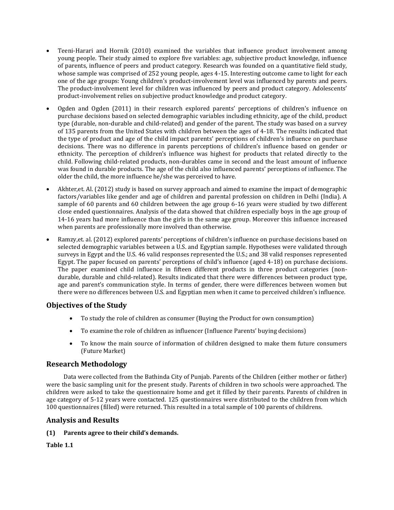- Teeni-Harari and Hornik (2010) examined the variables that influence product involvement among young people. Their study aimed to explore five variables: age, subjective product knowledge, influence of parents, influence of peers and product category. Research was founded on a quantitative field study, whose sample was comprised of 252 young people, ages 4-15. Interesting outcome came to light for each one of the age groups: Young children's product-involvement level was influenced by parents and peers. The product-involvement level for children was influenced by peers and product category. Adolescents' product-involvement relies on subjective product knowledge and product category.
- Ogden and Ogden (2011) in their research explored parents' perceptions of children's influence on purchase decisions based on selected demographic variables including ethnicity, age of the child, product type (durable, non-durable and child-related) and gender of the parent. The study was based on a survey of 135 parents from the United States with children between the ages of 4-18. The results indicated that the type of product and age of the child impact parents' perceptions of children's influence on purchase decisions. There was no difference in parents perceptions of children's influence based on gender or ethnicity. The perception of children's influence was highest for products that related directly to the child. Following child-related products, non-durables came in second and the least amount of influence was found in durable products. The age of the child also influenced parents' perceptions of influence. The older the child, the more influence he/she was perceived to have.
- Akhter,et. Al. (2012) study is based on survey approach and aimed to examine the impact of demographic factors/variables like gender and age of children and parental profession on children in Delhi (India). A sample of 60 parents and 60 children between the age group 6-16 years were studied by two different close ended questionnaires. Analysis of the data showed that children especially boys in the age group of 14-16 years had more influence than the girls in the same age group. Moreover this influence increased when parents are professionally more involved than otherwise.
- Ramzy,et. al. (2012) explored parents' perceptions of children's influence on purchase decisions based on selected demographic variables between a U.S. and Egyptian sample. Hypotheses were validated through surveys in Egypt and the U.S. 46 valid responses represented the U.S.; and 38 valid responses represented Egypt. The paper focused on parents' perceptions of child's influence (aged 4-18) on purchase decisions. The paper examined child influence in fifteen different products in three product categories (nondurable, durable and child-related). Results indicated that there were differences between product type, age and parent's communication style. In terms of gender, there were differences between women but there were no differences between U.S. and Egyptian men when it came to perceived children's influence.

# **Objectives of the Study**

- To study the role of children as consumer (Buying the Product for own consumption)
- To examine the role of children as influencer (Influence Parents' buying decisions)
- To know the main source of information of children designed to make them future consumers (Future Market)

# **Research Methodology**

Data were collected from the Bathinda City of Punjab. Parents of the Children (either mother or father) were the basic sampling unit for the present study. Parents of children in two schools were approached. The children were asked to take the questionnaire home and get it filled by their parents. Parents of children in age category of 5-12 years were contacted. 125 questionnaires were distributed to the children from which 100 questionnaires (filled) were returned. This resulted in a total sample of 100 parents of childrens.

# **Analysis and Results**

## **(1) Parents agree to their child's demands.**

**Table 1.1**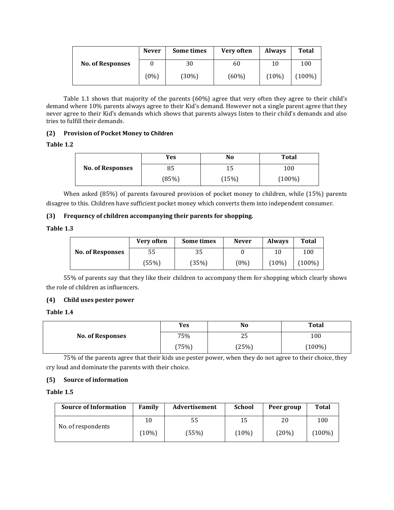|                         | <b>Never</b> | Some times | Very often | <b>Always</b> | <b>Total</b> |
|-------------------------|--------------|------------|------------|---------------|--------------|
| <b>No. of Responses</b> |              | 30         | 60         | 10            | 100          |
|                         | $(0\%)$      | (30%)      | $(60\%)$   | $(10\%)$      | $(100\%)$    |

Table 1.1 shows that majority of the parents (60%) agree that very often they agree to their child's demand where 10% parents always agree to their Kid's demand. However not a single parent agree that they never agree to their Kid's demands which shows that parents always listen to their child's demands and also tries to fulfill their demands.

## **(2) Provision of Pocket Money to Children**

## **Table 1.2**

|                         | Yes   | No    | <b>Total</b> |  |
|-------------------------|-------|-------|--------------|--|
| <b>No. of Responses</b> | 85    | 15    | 100          |  |
|                         | (85%) | (15%) | $(100\%)$    |  |

When asked (85%) of parents favoured provision of pocket money to children, while (15%) parents disagree to this. Children have sufficient pocket money which converts them into independent consumer.

## **(3) Frequency of children accompanying their parents for shopping.**

#### **Table 1.3**

|                         | Very often | Some times | <b>Never</b> | <b>Always</b> | Total     |
|-------------------------|------------|------------|--------------|---------------|-----------|
| <b>No. of Responses</b> | 55         | 35         |              | 10            | 100       |
|                         | (55%)      | (35%)      | $(0\%)$      | $(10\%)$      | $(100\%)$ |

55% of parents say that they like their children to accompany them for shopping which clearly shows the role of children as influencers.

## **(4) Child uses pester power**

## **Table 1.4**

|                         | Yes   | No        | <b>Total</b> |
|-------------------------|-------|-----------|--------------|
| <b>No. of Responses</b> | 75%   | つに<br>ں ک | 100          |
|                         | (75%) | (25%)     | $(100\%)$    |

75% of the parents agree that their kids use pester power, when they do not agree to their choice, they cry loud and dominate the parents with their choice.

## **(5) Source of information**

## **Table 1.5**

| <b>Source of Information</b> | Family   | Advertisement | <b>School</b> | Peer group | <b>Total</b> |
|------------------------------|----------|---------------|---------------|------------|--------------|
|                              | 10       | 55            | 15            | 20         | 100          |
| No. of respondents           | $(10\%)$ | (55%)         | (10%)         | (20%)      | $(100\%)$    |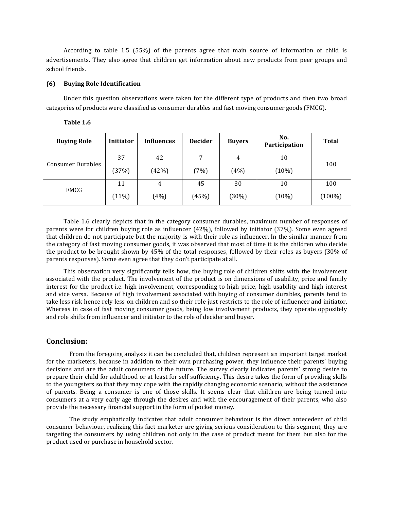According to table 1.5 (55%) of the parents agree that main source of information of child is advertisements. They also agree that children get information about new products from peer groups and school friends.

#### **(6) Buying Role Identification**

Under this question observations were taken for the different type of products and then two broad categories of products were classified as consumer durables and fast moving consumer goods (FMCG).

| Table 1.6 |  |  |  |
|-----------|--|--|--|
|-----------|--|--|--|

| <b>Buying Role</b>       | <b>Initiator</b> | <b>Influences</b> | <b>Decider</b> | <b>Buyers</b> | No.<br>Participation | <b>Total</b> |
|--------------------------|------------------|-------------------|----------------|---------------|----------------------|--------------|
| <b>Consumer Durables</b> | 37               | 42                | 7              | 4             | 10                   | 100          |
|                          | (37%)            | (42%)             | (7%)           | (4%)          | (10%)                |              |
| FMCG                     | 11               | 4                 | 45             | 30            | 10                   | 100          |
|                          | $(11\%)$         | (4%)              | (45%)          | (30%)         | (10%)                | $(100\%)$    |

Table 1.6 clearly depicts that in the category consumer durables, maximum number of responses of parents were for children buying role as influencer (42%), followed by initiator (37%). Some even agreed that children do not participate but the majority is with their role as influencer. In the similar manner from the category of fast moving consumer goods, it was observed that most of time it is the children who decide the product to be brought shown by 45% of the total responses, followed by their roles as buyers (30% of parents responses). Some even agree that they don't participate at all.

This observation very significantly tells how, the buying role of children shifts with the involvement associated with the product. The involvement of the product is on dimensions of usability, price and family interest for the product i.e. high involvement, corresponding to high price, high usability and high interest and vice versa. Because of high involvement associated with buying of consumer durables, parents tend to take less risk hence rely less on children and so their role just restricts to the role of influencer and initiator. Whereas in case of fast moving consumer goods, being low involvement products, they operate oppositely and role shifts from influencer and initiator to the role of decider and buyer.

#### **Conclusion:**

From the foregoing analysis it can be concluded that, children represent an important target market for the marketers, because in addition to their own purchasing power, they influence their parents' buying decisions and are the adult consumers of the future. The survey clearly indicates parents' strong desire to prepare their child for adulthood or at least for self sufficiency. This desire takes the form of providing skills to the youngsters so that they may cope with the rapidly changing economic scenario, without the assistance of parents. Being a consumer is one of those skills. It seems clear that children are being turned into consumers at a very early age through the desires and with the encouragement of their parents, who also provide the necessary financial support in the form of pocket money.

The study emphatically indicates that adult consumer behaviour is the direct antecedent of child consumer behaviour, realizing this fact marketer are giving serious consideration to this segment, they are targeting the consumers by using children not only in the case of product meant for them but also for the product used or purchase in household sector.